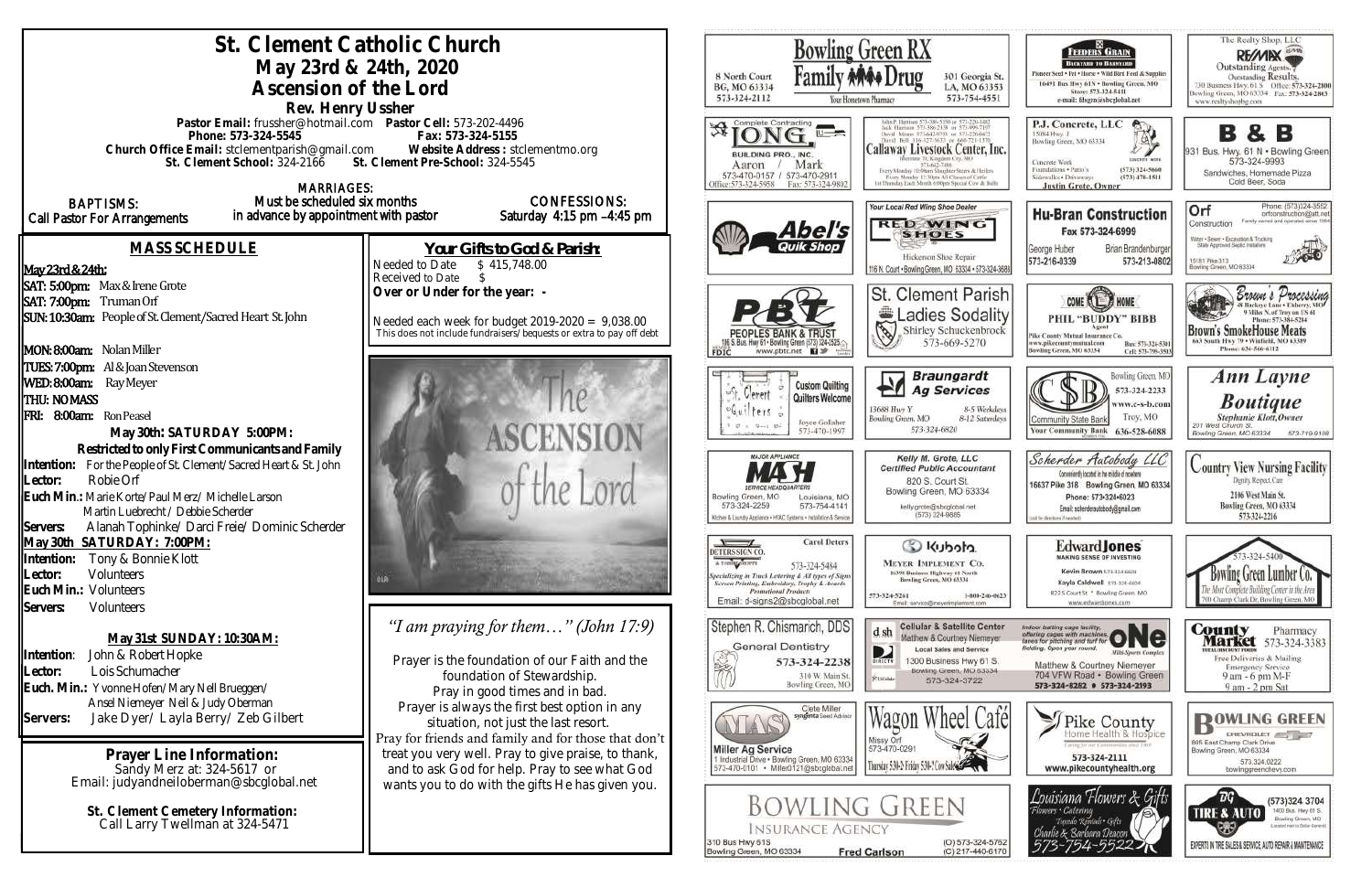